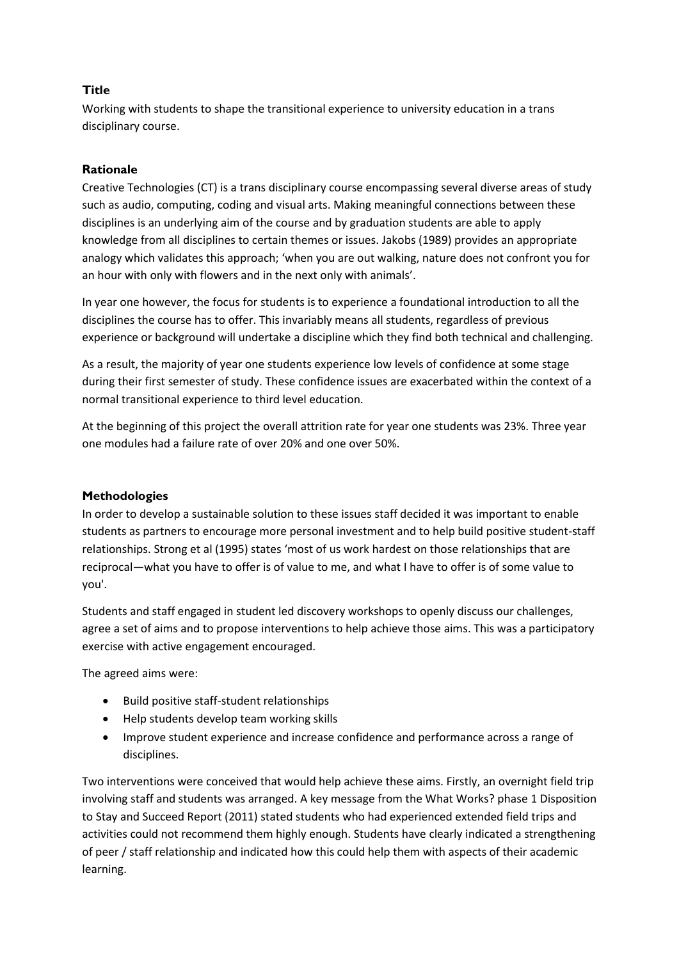# **Title**

Working with students to shape the transitional experience to university education in a trans disciplinary course.

## **Rationale**

Creative Technologies (CT) is a trans disciplinary course encompassing several diverse areas of study such as audio, computing, coding and visual arts. Making meaningful connections between these disciplines is an underlying aim of the course and by graduation students are able to apply knowledge from all disciplines to certain themes or issues. Jakobs (1989) provides an appropriate analogy which validates this approach; 'when you are out walking, nature does not confront you for an hour with only with flowers and in the next only with animals'.

In year one however, the focus for students is to experience a foundational introduction to all the disciplines the course has to offer. This invariably means all students, regardless of previous experience or background will undertake a discipline which they find both technical and challenging.

As a result, the majority of year one students experience low levels of confidence at some stage during their first semester of study. These confidence issues are exacerbated within the context of a normal transitional experience to third level education.

At the beginning of this project the overall attrition rate for year one students was 23%. Three year one modules had a failure rate of over 20% and one over 50%.

## **Methodologies**

In order to develop a sustainable solution to these issues staff decided it was important to enable students as partners to encourage more personal investment and to help build positive student-staff relationships. Strong et al (1995) states 'most of us work hardest on those relationships that are reciprocal—what you have to offer is of value to me, and what I have to offer is of some value to you'.

Students and staff engaged in student led discovery workshops to openly discuss our challenges, agree a set of aims and to propose interventions to help achieve those aims. This was a participatory exercise with active engagement encouraged.

The agreed aims were:

- Build positive staff-student relationships
- Help students develop team working skills
- Improve student experience and increase confidence and performance across a range of disciplines.

Two interventions were conceived that would help achieve these aims. Firstly, an overnight field trip involving staff and students was arranged. A key message from the What Works? phase 1 Disposition to Stay and Succeed Report (2011) stated students who had experienced extended field trips and activities could not recommend them highly enough. Students have clearly indicated a strengthening of peer / staff relationship and indicated how this could help them with aspects of their academic learning.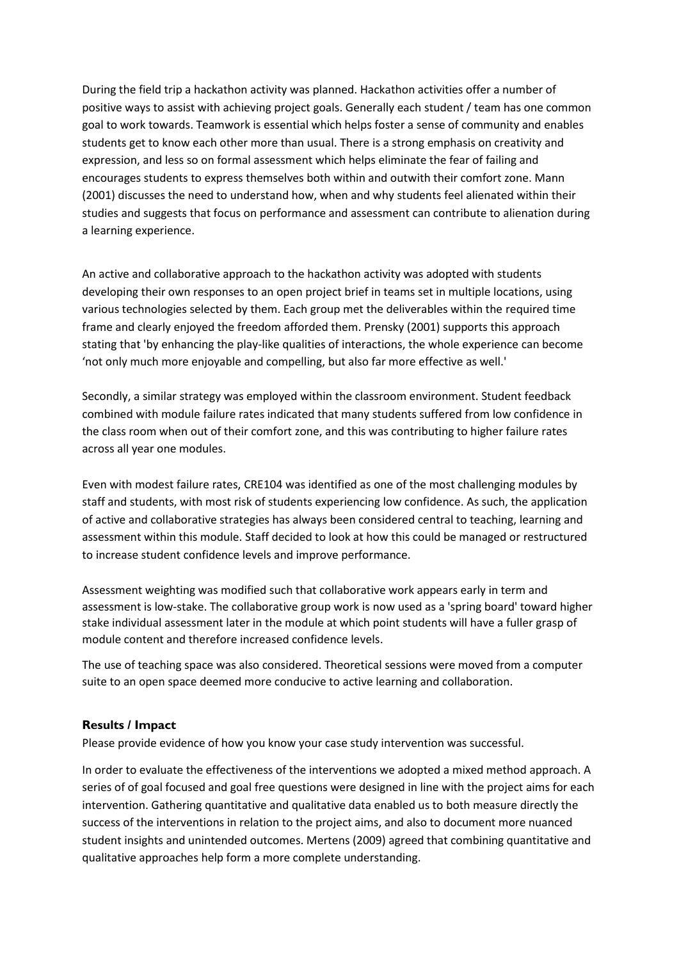During the field trip a hackathon activity was planned. Hackathon activities offer a number of positive ways to assist with achieving project goals. Generally each student / team has one common goal to work towards. Teamwork is essential which helps foster a sense of community and enables students get to know each other more than usual. There is a strong emphasis on creativity and expression, and less so on formal assessment which helps eliminate the fear of failing and encourages students to express themselves both within and outwith their comfort zone. Mann (2001) discusses the need to understand how, when and why students feel alienated within their studies and suggests that focus on performance and assessment can contribute to alienation during a learning experience.

An active and collaborative approach to the hackathon activity was adopted with students developing their own responses to an open project brief in teams set in multiple locations, using various technologies selected by them. Each group met the deliverables within the required time frame and clearly enjoyed the freedom afforded them. Prensky (2001) supports this approach stating that 'by enhancing the play-like qualities of interactions, the whole experience can become 'not only much more enjoyable and compelling, but also far more effective as well.'

Secondly, a similar strategy was employed within the classroom environment. Student feedback combined with module failure rates indicated that many students suffered from low confidence in the class room when out of their comfort zone, and this was contributing to higher failure rates across all year one modules.

Even with modest failure rates, CRE104 was identified as one of the most challenging modules by staff and students, with most risk of students experiencing low confidence. As such, the application of active and collaborative strategies has always been considered central to teaching, learning and assessment within this module. Staff decided to look at how this could be managed or restructured to increase student confidence levels and improve performance.

Assessment weighting was modified such that collaborative work appears early in term and assessment is low-stake. The collaborative group work is now used as a 'spring board' toward higher stake individual assessment later in the module at which point students will have a fuller grasp of module content and therefore increased confidence levels.

The use of teaching space was also considered. Theoretical sessions were moved from a computer suite to an open space deemed more conducive to active learning and collaboration.

#### **Results / Impact**

Please provide evidence of how you know your case study intervention was successful.

In order to evaluate the effectiveness of the interventions we adopted a mixed method approach. A series of of goal focused and goal free questions were designed in line with the project aims for each intervention. Gathering quantitative and qualitative data enabled us to both measure directly the success of the interventions in relation to the project aims, and also to document more nuanced student insights and unintended outcomes. Mertens (2009) agreed that combining quantitative and qualitative approaches help form a more complete understanding.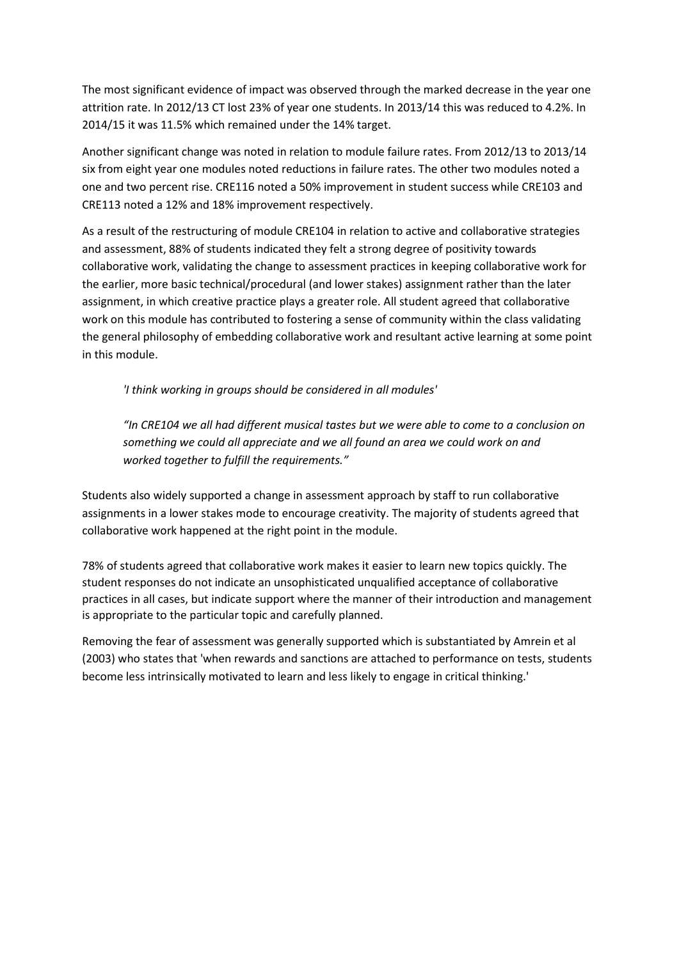The most significant evidence of impact was observed through the marked decrease in the year one attrition rate. In 2012/13 CT lost 23% of year one students. In 2013/14 this was reduced to 4.2%. In 2014/15 it was 11.5% which remained under the 14% target.

Another significant change was noted in relation to module failure rates. From 2012/13 to 2013/14 six from eight year one modules noted reductions in failure rates. The other two modules noted a one and two percent rise. CRE116 noted a 50% improvement in student success while CRE103 and CRE113 noted a 12% and 18% improvement respectively.

As a result of the restructuring of module CRE104 in relation to active and collaborative strategies and assessment, 88% of students indicated they felt a strong degree of positivity towards collaborative work, validating the change to assessment practices in keeping collaborative work for the earlier, more basic technical/procedural (and lower stakes) assignment rather than the later assignment, in which creative practice plays a greater role. All student agreed that collaborative work on this module has contributed to fostering a sense of community within the class validating the general philosophy of embedding collaborative work and resultant active learning at some point in this module.

*'I think working in groups should be considered in all modules'*

*"In CRE104 we all had different musical tastes but we were able to come to a conclusion on something we could all appreciate and we all found an area we could work on and worked together to fulfill the requirements."*

Students also widely supported a change in assessment approach by staff to run collaborative assignments in a lower stakes mode to encourage creativity. The majority of students agreed that collaborative work happened at the right point in the module.

78% of students agreed that collaborative work makes it easier to learn new topics quickly. The student responses do not indicate an unsophisticated unqualified acceptance of collaborative practices in all cases, but indicate support where the manner of their introduction and management is appropriate to the particular topic and carefully planned.

Removing the fear of assessment was generally supported which is substantiated by Amrein et al (2003) who states that 'when rewards and sanctions are attached to performance on tests, students become less intrinsically motivated to learn and less likely to engage in critical thinking.'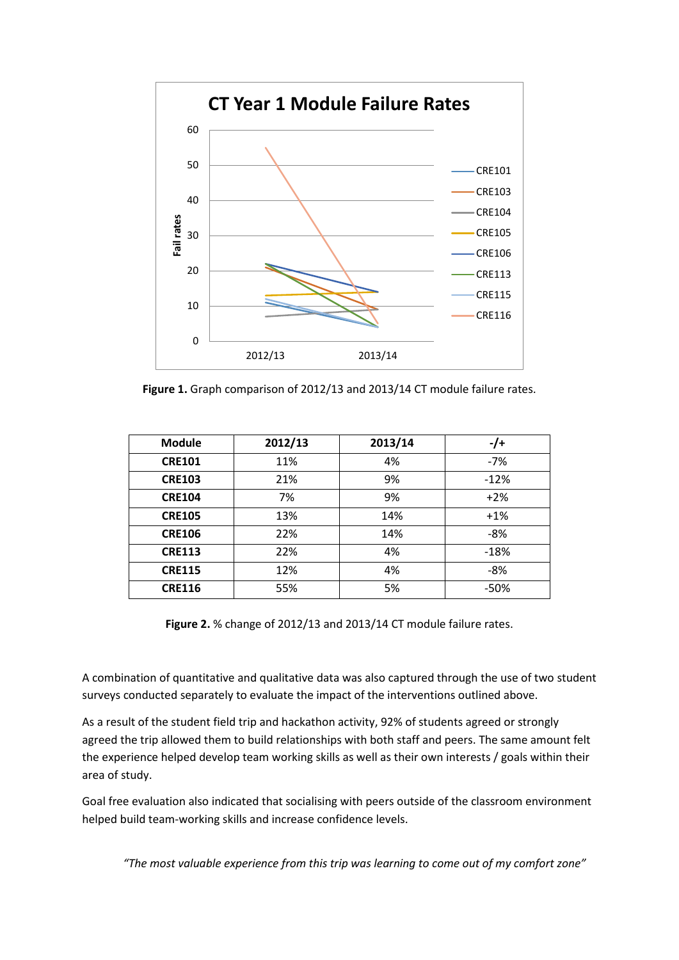

**Figure 1.** Graph comparison of 2012/13 and 2013/14 CT module failure rates.

| <b>Module</b> | 2012/13 | 2013/14 | $-$ /+ |
|---------------|---------|---------|--------|
| <b>CRE101</b> | 11%     | 4%      | $-7%$  |
| <b>CRE103</b> | 21%     | 9%      | $-12%$ |
| <b>CRE104</b> | 7%      | 9%      | $+2%$  |
| <b>CRE105</b> | 13%     | 14%     | $+1%$  |
| <b>CRE106</b> | 22%     | 14%     | -8%    |
| <b>CRE113</b> | 22%     | 4%      | $-18%$ |
| <b>CRE115</b> | 12%     | 4%      | $-8%$  |
| <b>CRE116</b> | 55%     | 5%      | $-50%$ |

**Figure 2.** % change of 2012/13 and 2013/14 CT module failure rates.

A combination of quantitative and qualitative data was also captured through the use of two student surveys conducted separately to evaluate the impact of the interventions outlined above.

As a result of the student field trip and hackathon activity, 92% of students agreed or strongly agreed the trip allowed them to build relationships with both staff and peers. The same amount felt the experience helped develop team working skills as well as their own interests / goals within their area of study.

Goal free evaluation also indicated that socialising with peers outside of the classroom environment helped build team-working skills and increase confidence levels.

*"The most valuable experience from this trip was learning to come out of my comfort zone"*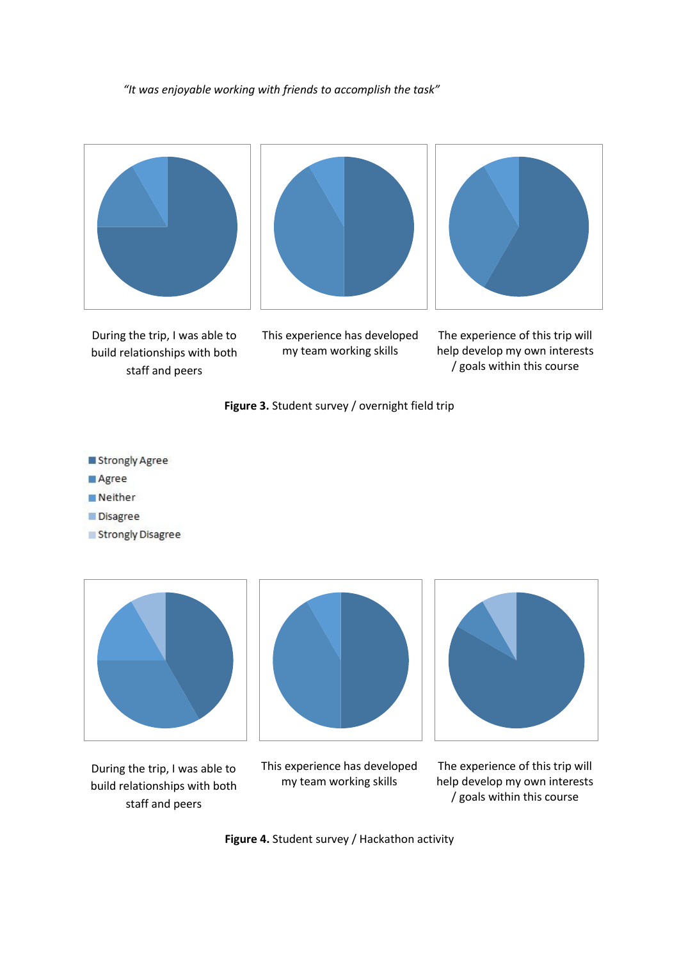*"It was enjoyable working with friends to accomplish the task"*







During the trip, I was able to build relationships with both staff and peers

This experience has developed my team working skills

The experience of this trip will help develop my own interests / goals within this course



- Strongly Agree
- Agree
- Neither
- Disagree
- Strongly Disagree



During the trip, I was able to build relationships with both staff and peers



This experience has developed my team working skills



The experience of this trip will help develop my own interests / goals within this course